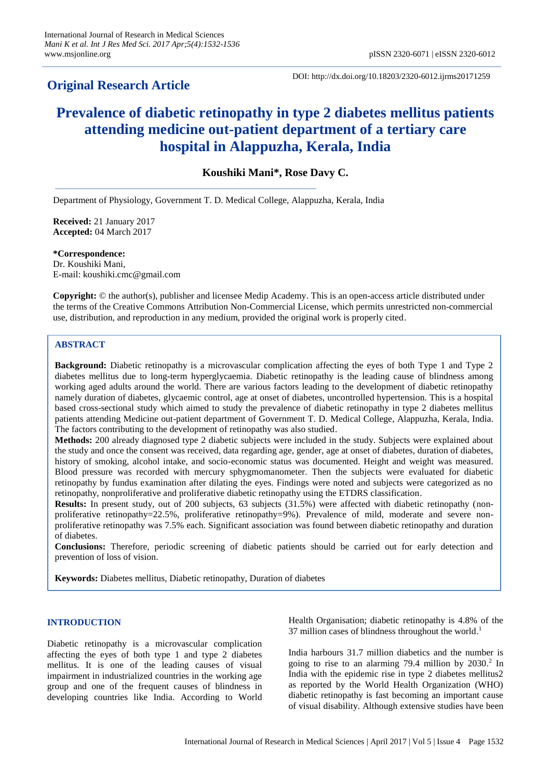# **Original Research Article**

DOI: http://dx.doi.org/10.18203/2320-6012.ijrms20171259

# **Prevalence of diabetic retinopathy in type 2 diabetes mellitus patients attending medicine out-patient department of a tertiary care hospital in Alappuzha, Kerala, India**

**Koushiki Mani\*, Rose Davy C.**

Department of Physiology, Government T. D. Medical College, Alappuzha, Kerala, India

**Received:** 21 January 2017 **Accepted:** 04 March 2017

**\*Correspondence:** Dr. Koushiki Mani, E-mail: koushiki.cmc@gmail.com

**Copyright:** © the author(s), publisher and licensee Medip Academy. This is an open-access article distributed under the terms of the Creative Commons Attribution Non-Commercial License, which permits unrestricted non-commercial use, distribution, and reproduction in any medium, provided the original work is properly cited.

# **ABSTRACT**

**Background:** Diabetic retinopathy is a microvascular complication affecting the eyes of both Type 1 and Type 2 diabetes mellitus due to long-term hyperglycaemia. Diabetic retinopathy is the leading cause of blindness among working aged adults around the world. There are various factors leading to the development of diabetic retinopathy namely duration of diabetes, glycaemic control, age at onset of diabetes, uncontrolled hypertension. This is a hospital based cross-sectional study which aimed to study the prevalence of diabetic retinopathy in type 2 diabetes mellitus patients attending Medicine out-patient department of Government T. D. Medical College, Alappuzha, Kerala, India. The factors contributing to the development of retinopathy was also studied.

**Methods:** 200 already diagnosed type 2 diabetic subjects were included in the study. Subjects were explained about the study and once the consent was received, data regarding age, gender, age at onset of diabetes, duration of diabetes, history of smoking, alcohol intake, and socio-economic status was documented. Height and weight was measured. Blood pressure was recorded with mercury sphygmomanometer. Then the subjects were evaluated for diabetic retinopathy by fundus examination after dilating the eyes. Findings were noted and subjects were categorized as no retinopathy, nonproliferative and proliferative diabetic retinopathy using the ETDRS classification.

**Results:** In present study, out of 200 subjects, 63 subjects (31.5%) were affected with diabetic retinopathy (nonproliferative retinopathy=22.5%, proliferative retinopathy=9%). Prevalence of mild, moderate and severe nonproliferative retinopathy was 7.5% each. Significant association was found between diabetic retinopathy and duration of diabetes.

**Conclusions:** Therefore, periodic screening of diabetic patients should be carried out for early detection and prevention of loss of vision.

**Keywords:** Diabetes mellitus, Diabetic retinopathy, Duration of diabetes

# **INTRODUCTION**

Diabetic retinopathy is a microvascular complication affecting the eyes of both type 1 and type 2 diabetes mellitus. It is one of the leading causes of visual impairment in industrialized countries in the working age group and one of the frequent causes of blindness in developing countries like India. According to World Health Organisation; diabetic retinopathy is 4.8% of the 37 million cases of blindness throughout the world. 1

India harbours 31.7 million diabetics and the number is going to rise to an alarming 79.4 million by 2030. 2 In India with the epidemic rise in type 2 diabetes mellitus2 as reported by the World Health Organization (WHO) diabetic retinopathy is fast becoming an important cause of visual disability. Although extensive studies have been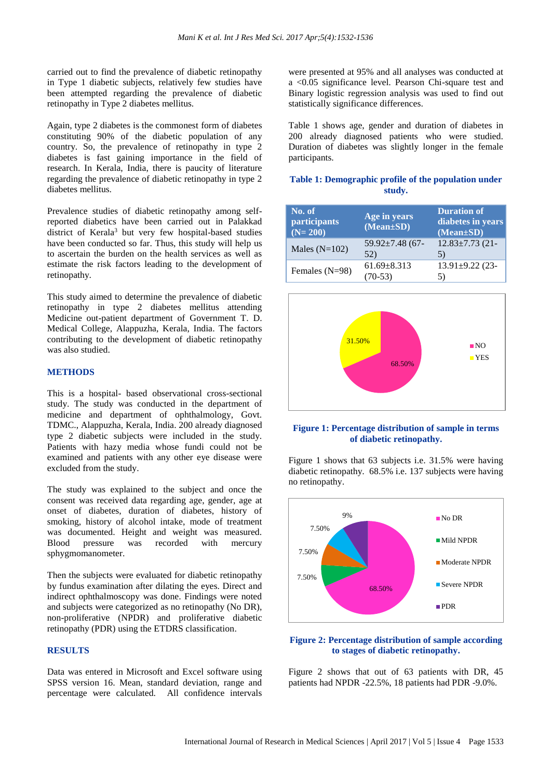carried out to find the prevalence of diabetic retinopathy in Type 1 diabetic subjects, relatively few studies have been attempted regarding the prevalence of diabetic retinopathy in Type 2 diabetes mellitus.

Again, type 2 diabetes is the commonest form of diabetes constituting 90% of the diabetic population of any country. So, the prevalence of retinopathy in type 2 diabetes is fast gaining importance in the field of research. In Kerala, India, there is paucity of literature regarding the prevalence of diabetic retinopathy in type 2 diabetes mellitus.

Prevalence studies of diabetic retinopathy among selfreported diabetics have been carried out in Palakkad district of Kerala<sup>3</sup> but very few hospital-based studies have been conducted so far. Thus, this study will help us to ascertain the burden on the health services as well as estimate the risk factors leading to the development of retinopathy.

This study aimed to determine the prevalence of diabetic retinopathy in type 2 diabetes mellitus attending Medicine out-patient department of Government T. D. Medical College, Alappuzha, Kerala, India. The factors contributing to the development of diabetic retinopathy was also studied.

# **METHODS**

This is a hospital- based observational cross-sectional study. The study was conducted in the department of medicine and department of ophthalmology, Govt. TDMC., Alappuzha, Kerala, India. 200 already diagnosed type 2 diabetic subjects were included in the study. Patients with hazy media whose fundi could not be examined and patients with any other eye disease were excluded from the study.

The study was explained to the subject and once the consent was received data regarding age, gender, age at onset of diabetes, duration of diabetes, history of smoking, history of alcohol intake, mode of treatment was documented. Height and weight was measured. Blood pressure was recorded with mercury sphygmomanometer.

Then the subjects were evaluated for diabetic retinopathy by fundus examination after dilating the eyes. Direct and indirect ophthalmoscopy was done. Findings were noted and subjects were categorized as no retinopathy (No DR), non-proliferative (NPDR) and proliferative diabetic retinopathy (PDR) using the ETDRS classification.

#### **RESULTS**

Data was entered in Microsoft and Excel software using SPSS version 16. Mean, standard deviation, range and percentage were calculated. All confidence intervals were presented at 95% and all analyses was conducted at a <0.05 significance level. Pearson Chi-square test and Binary logistic regression analysis was used to find out statistically significance differences.

Table 1 shows age, gender and duration of diabetes in 200 already diagnosed patients who were studied. Duration of diabetes was slightly longer in the female participants.

# **Table 1: Demographic profile of the population under study.**

| No. of<br>participants<br>$(N=200)$ | Age in years<br>$(Mean \pm SD)$ | <b>Duration of</b><br>diabetes in years<br>$\overline{(\text{Mean}\pm\text{SD})}$ |
|-------------------------------------|---------------------------------|-----------------------------------------------------------------------------------|
| Males $(N=102)$                     | $59.92 \pm 7.48$ (67-<br>52)    | $12.83 \pm 7.73$ (21-<br>5)                                                       |
| Females (N=98)                      | $61.69 \pm 8.313$<br>70-53)     | $13.91 \pm 9.22$ (23-<br>5)                                                       |



# **Figure 1: Percentage distribution of sample in terms of diabetic retinopathy.**

Figure 1 shows that 63 subjects i.e. 31.5% were having diabetic retinopathy. 68.5% i.e. 137 subjects were having no retinopathy.



#### **Figure 2: Percentage distribution of sample according to stages of diabetic retinopathy.**

Figure 2 shows that out of 63 patients with DR, 45 patients had NPDR -22.5%, 18 patients had PDR -9.0%.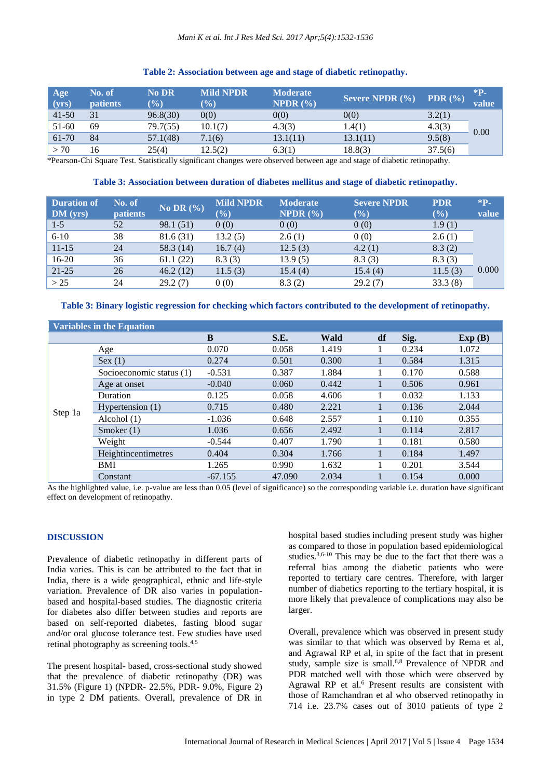# **Table 2: Association between age and stage of diabetic retinopathy.**

| Age<br>(yrs) | No. of<br><b>patients</b> | <b>No DR</b><br>$\mathcal{O}_\mathbf{0}$ | <b>Mild NPDR</b><br>$(\%)$ | <b>Moderate</b><br>NPDR $(\% )$ | Severe NPDR $(\% )$ | PDR $(\% )$ | $*P-$<br>value |
|--------------|---------------------------|------------------------------------------|----------------------------|---------------------------------|---------------------|-------------|----------------|
| $41 - 50$    | 31                        | 96.8(30)                                 | 0(0)                       | 0(0)                            | 0(0)                | 3.2(1)      |                |
| 51-60        | 69                        | 79.7(55)                                 | 10.1(7)                    | 4.3(3)                          | 1.4(1)              | 4.3(3)      | 0.00           |
| 61-70        | 84                        | 57.1(48)                                 | 7.1(6)                     | 13.1(11)                        | 13.1(11)            | 9.5(8)      |                |
| > 70         | 16                        | 25(4)                                    | 12.5(2)                    | 6.3(1)                          | 18.8(3)             | 37.5(6)     |                |

\*Pearson-Chi Square Test. Statistically significant changes were observed between age and stage of diabetic retinopathy.

# **Table 3: Association between duration of diabetes mellitus and stage of diabetic retinopathy.**

| <b>Duration of</b> | No. of          | No DR $(\% )$ | <b>Mild NPDR</b> | <b>Moderate</b>     | <b>Severe NPDR</b> | <b>PDR</b> | $*P-$ |
|--------------------|-----------------|---------------|------------------|---------------------|--------------------|------------|-------|
| DM (yrs)           | <b>patients</b> |               | $(\%)$           | <b>NPDR</b> $(\% )$ | $(\%)$             | (%)        | value |
| $1-5$              | 52              | 98.1 (51)     | 0(0)             | 0(0)                | 0(0)               | 1.9(1)     |       |
| $6 - 10$           | 38              | 81.6 (31)     | 13.2(5)          | 2.6(1)              | 0(0)               | 2.6(1)     |       |
| $11 - 15$          | 24              | 58.3 (14)     | 16.7(4)          | 12.5(3)             | 4.2(1)             | 8.3(2)     |       |
| $16-20$            | 36              | 61.1(22)      | 8.3(3)           | 13.9(5)             | 8.3(3)             | 8.3(3)     |       |
| $21 - 25$          | 26              | 46.2(12)      | 11.5(3)          | 15.4(4)             | 15.4(4)            | 11.5(3)    | 0.000 |
| >25                | 24              | 29.2(7)       | 0(0)             | 8.3(2)              | 29.2(7)            | 33.3(8)    |       |

# **Table 3: Binary logistic regression for checking which factors contributed to the development of retinopathy.**

| <b>Variables in the Equation</b> |                          |           |        |       |    |       |        |
|----------------------------------|--------------------------|-----------|--------|-------|----|-------|--------|
|                                  |                          | B         | S.E.   | Wald  | df | Sig.  | Exp(B) |
| Step 1a                          | Age                      | 0.070     | 0.058  | 1.419 |    | 0.234 | 1.072  |
|                                  | Sex (1)                  | 0.274     | 0.501  | 0.300 |    | 0.584 | 1.315  |
|                                  | Socioeconomic status (1) | $-0.531$  | 0.387  | 1.884 |    | 0.170 | 0.588  |
|                                  | Age at onset             | $-0.040$  | 0.060  | 0.442 |    | 0.506 | 0.961  |
|                                  | Duration                 | 0.125     | 0.058  | 4.606 |    | 0.032 | 1.133  |
|                                  | Hypertension $(1)$       | 0.715     | 0.480  | 2.221 |    | 0.136 | 2.044  |
|                                  | Alcohol $(1)$            | $-1.036$  | 0.648  | 2.557 |    | 0.110 | 0.355  |
|                                  | Smoker $(1)$             | 1.036     | 0.656  | 2.492 |    | 0.114 | 2.817  |
|                                  | Weight                   | $-0.544$  | 0.407  | 1.790 |    | 0.181 | 0.580  |
|                                  | Heightincentimetres      | 0.404     | 0.304  | 1.766 |    | 0.184 | 1.497  |
|                                  | BMI                      | 1.265     | 0.990  | 1.632 |    | 0.201 | 3.544  |
|                                  | Constant                 | $-67.155$ | 47.090 | 2.034 |    | 0.154 | 0.000  |

As the highlighted value, i.e. p-value are less than 0.05 (level of significance) so the corresponding variable i.e. duration have significant effect on development of retinopathy.

#### **DISCUSSION**

Prevalence of diabetic retinopathy in different parts of India varies. This is can be attributed to the fact that in India, there is a wide geographical, ethnic and life-style variation. Prevalence of DR also varies in populationbased and hospital-based studies. The diagnostic criteria for diabetes also differ between studies and reports are based on self-reported diabetes, fasting blood sugar and/or oral glucose tolerance test. Few studies have used retinal photography as screening tools.<sup>4,5</sup>

The present hospital- based, cross-sectional study showed that the prevalence of diabetic retinopathy (DR) was 31.5% (Figure 1) (NPDR- 22.5%, PDR- 9.0%, Figure 2) in type 2 DM patients. Overall, prevalence of DR in hospital based studies including present study was higher as compared to those in population based epidemiological studies.<sup>3,6-10</sup> This may be due to the fact that there was a referral bias among the diabetic patients who were reported to tertiary care centres. Therefore, with larger number of diabetics reporting to the tertiary hospital, it is more likely that prevalence of complications may also be larger.

Overall, prevalence which was observed in present study was similar to that which was observed by Rema et al, and Agrawal RP et al, in spite of the fact that in present study, sample size is small.<sup>6,8</sup> Prevalence of NPDR and PDR matched well with those which were observed by Agrawal RP et al. <sup>6</sup> Present results are consistent with those of Ramchandran et al who observed retinopathy in 714 i.e. 23.7% cases out of 3010 patients of type 2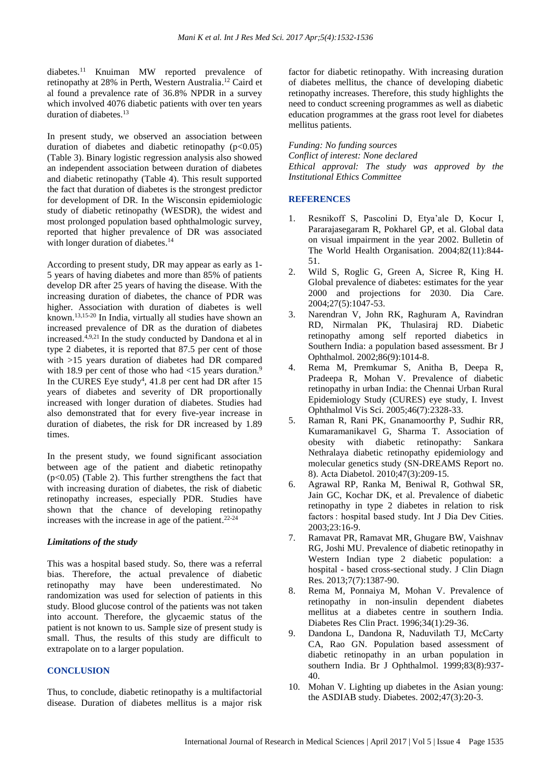diabetes.<sup>11</sup> Knuiman MW reported prevalence of retinopathy at 28% in Perth, Western Australia. <sup>12</sup> Caird et al found a prevalence rate of 36.8% NPDR in a survey which involved 4076 diabetic patients with over ten years duration of diabetes. 13

In present study, we observed an association between duration of diabetes and diabetic retinopathy  $(p<0.05)$ (Table 3). Binary logistic regression analysis also showed an independent association between duration of diabetes and diabetic retinopathy (Table 4). This result supported the fact that duration of diabetes is the strongest predictor for development of DR. In the Wisconsin epidemiologic study of diabetic retinopathy (WESDR), the widest and most prolonged population based ophthalmologic survey, reported that higher prevalence of DR was associated with longer duration of diabetes.<sup>14</sup>

According to present study, DR may appear as early as 1- 5 years of having diabetes and more than 85% of patients develop DR after 25 years of having the disease. With the increasing duration of diabetes, the chance of PDR was higher. Association with duration of diabetes is well known. 13,15-20 In India, virtually all studies have shown an increased prevalence of DR as the duration of diabetes increased. 4,9,21 In the study conducted by Dandona et al in type 2 diabetes, it is reported that 87.5 per cent of those with >15 years duration of diabetes had DR compared with 18.9 per cent of those who had  $\langle 15 \rangle$  years duration.<sup>9</sup> In the CURES Eye study<sup>4</sup>,  $41.8$  per cent had DR after 15 years of diabetes and severity of DR proportionally increased with longer duration of diabetes. Studies had also demonstrated that for every five-year increase in duration of diabetes, the risk for DR increased by 1.89 times.

In the present study, we found significant association between age of the patient and diabetic retinopathy  $(p<0.05)$  (Table 2). This further strengthens the fact that with increasing duration of diabetes, the risk of diabetic retinopathy increases, especially PDR. Studies have shown that the chance of developing retinopathy increases with the increase in age of the patient. 22-24

#### *Limitations of the study*

This was a hospital based study. So, there was a referral bias. Therefore, the actual prevalence of diabetic retinopathy may have been underestimated. No randomization was used for selection of patients in this study. Blood glucose control of the patients was not taken into account. Therefore, the glycaemic status of the patient is not known to us. Sample size of present study is small. Thus, the results of this study are difficult to extrapolate on to a larger population.

#### **CONCLUSION**

Thus, to conclude, diabetic retinopathy is a multifactorial disease. Duration of diabetes mellitus is a major risk factor for diabetic retinopathy. With increasing duration of diabetes mellitus, the chance of developing diabetic retinopathy increases. Therefore, this study highlights the need to conduct screening programmes as well as diabetic education programmes at the grass root level for diabetes mellitus patients.

*Funding: No funding sources*

*Conflict of interest: None declared Ethical approval: The study was approved by the Institutional Ethics Committee*

# **REFERENCES**

- 1. Resnikoff S, Pascolini D, Etya'ale D, Kocur I, Pararajasegaram R, Pokharel GP, et al. Global data on visual impairment in the year 2002. Bulletin of The World Health Organisation. 2004;82(11):844- 51.
- 2. Wild S, Roglic G, Green A, Sicree R, King H. Global prevalence of diabetes: estimates for the year 2000 and projections for 2030. Dia Care. 2004;27(5):1047-53.
- 3. Narendran V, John RK, Raghuram A, Ravindran RD, Nirmalan PK, Thulasiraj RD. Diabetic retinopathy among self reported diabetics in Southern India: a population based assessment. Br J Ophthalmol. 2002;86(9):1014-8.
- 4. Rema M, Premkumar S, Anitha B, Deepa R, Pradeepa R, Mohan V. Prevalence of diabetic retinopathy in urban India: the Chennai Urban Rural Epidemiology Study (CURES) eye study, I. Invest Ophthalmol Vis Sci. 2005;46(7):2328-33.
- 5. Raman R, Rani PK, Gnanamoorthy P, Sudhir RR, Kumaramanikavel G, Sharma T. Association of obesity with diabetic retinopathy: Sankara Nethralaya diabetic retinopathy epidemiology and molecular genetics study (SN-DREAMS Report no. 8). Acta Diabetol. 2010;47(3):209-15.
- 6. Agrawal RP, Ranka M, Beniwal R, Gothwal SR, Jain GC, Kochar DK, et al. Prevalence of diabetic retinopathy in type 2 diabetes in relation to risk factors : hospital based study. Int J Dia Dev Cities. 2003;23:16-9.
- 7. Ramavat PR, Ramavat MR, Ghugare BW, Vaishnav RG, Joshi MU. Prevalence of diabetic retinopathy in Western Indian type 2 diabetic population: a hospital - based cross-sectional study. J Clin Diagn Res. 2013;7(7):1387-90.
- 8. Rema M, Ponnaiya M, Mohan V. Prevalence of retinopathy in non-insulin dependent diabetes mellitus at a diabetes centre in southern India. Diabetes Res Clin Pract. 1996;34(1):29-36.
- 9. Dandona L, Dandona R, Naduvilath TJ, McCarty CA, Rao GN. Population based assessment of diabetic retinopathy in an urban population in southern India. Br J Ophthalmol. 1999;83(8):937- 40.
- 10. Mohan V. Lighting up diabetes in the Asian young: the ASDIAB study. Diabetes. 2002;47(3):20-3.